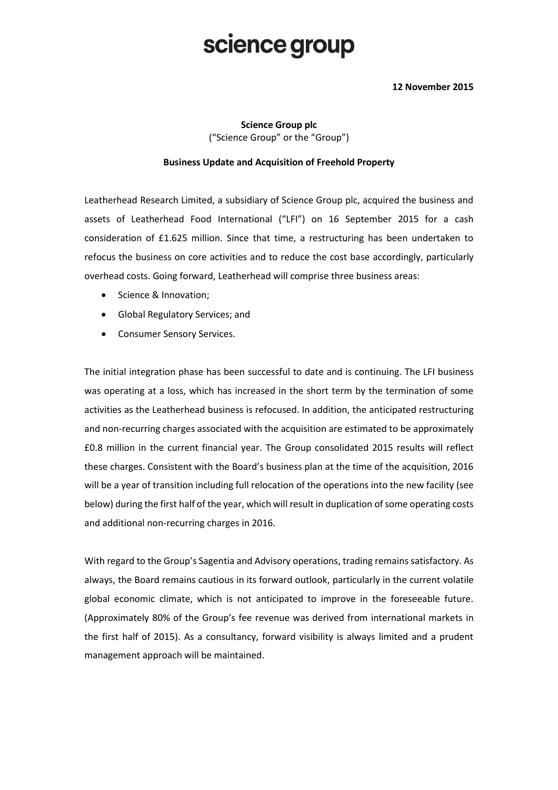# science group

### **12 November 2015**

**Science Group plc** ("Science Group" or the "Group")

### **Business Update and Acquisition of Freehold Property**

Leatherhead Research Limited, a subsidiary of Science Group plc, acquired the business and assets of Leatherhead Food International ("LFI") on 16 September 2015 for a cash consideration of £1.625 million. Since that time, a restructuring has been undertaken to refocus the business on core activities and to reduce the cost base accordingly, particularly overhead costs. Going forward, Leatherhead will comprise three business areas:

- Science & Innovation:
- Global Regulatory Services; and
- **•** Consumer Sensory Services.

The initial integration phase has been successful to date and is continuing. The LFI business was operating at a loss, which has increased in the short term by the termination of some activities as the Leatherhead business is refocused. In addition, the anticipated restructuring and non-recurring charges associated with the acquisition are estimated to be approximately £0.8 million in the current financial year. The Group consolidated 2015 results will reflect these charges. Consistent with the Board's business plan at the time of the acquisition, 2016 will be a year of transition including full relocation of the operations into the new facility (see below) during the first half of the year, which will result in duplication of some operating costs and additional non-recurring charges in 2016.

With regard to the Group's Sagentia and Advisory operations, trading remains satisfactory. As always, the Board remains cautious in its forward outlook, particularly in the current volatile global economic climate, which is not anticipated to improve in the foreseeable future. (Approximately 80% of the Group's fee revenue was derived from international markets in the first half of 2015). As a consultancy, forward visibility is always limited and a prudent management approach will be maintained.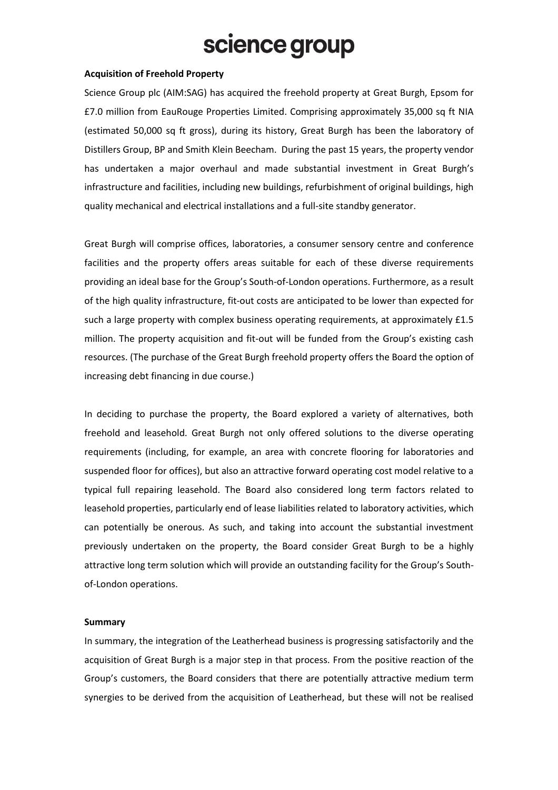# science group

#### **Acquisition of Freehold Property**

Science Group plc (AIM:SAG) has acquired the freehold property at Great Burgh, Epsom for £7.0 million from EauRouge Properties Limited. Comprising approximately 35,000 sq ft NIA (estimated 50,000 sq ft gross), during its history, Great Burgh has been the laboratory of Distillers Group, BP and Smith Klein Beecham. During the past 15 years, the property vendor has undertaken a major overhaul and made substantial investment in Great Burgh's infrastructure and facilities, including new buildings, refurbishment of original buildings, high quality mechanical and electrical installations and a full-site standby generator.

Great Burgh will comprise offices, laboratories, a consumer sensory centre and conference facilities and the property offers areas suitable for each of these diverse requirements providing an ideal base for the Group's South-of-London operations. Furthermore, as a result of the high quality infrastructure, fit-out costs are anticipated to be lower than expected for such a large property with complex business operating requirements, at approximately £1.5 million. The property acquisition and fit-out will be funded from the Group's existing cash resources. (The purchase of the Great Burgh freehold property offers the Board the option of increasing debt financing in due course.)

In deciding to purchase the property, the Board explored a variety of alternatives, both freehold and leasehold. Great Burgh not only offered solutions to the diverse operating requirements (including, for example, an area with concrete flooring for laboratories and suspended floor for offices), but also an attractive forward operating cost model relative to a typical full repairing leasehold. The Board also considered long term factors related to leasehold properties, particularly end of lease liabilities related to laboratory activities, which can potentially be onerous. As such, and taking into account the substantial investment previously undertaken on the property, the Board consider Great Burgh to be a highly attractive long term solution which will provide an outstanding facility for the Group's Southof-London operations.

#### **Summary**

In summary, the integration of the Leatherhead business is progressing satisfactorily and the acquisition of Great Burgh is a major step in that process. From the positive reaction of the Group's customers, the Board considers that there are potentially attractive medium term synergies to be derived from the acquisition of Leatherhead, but these will not be realised